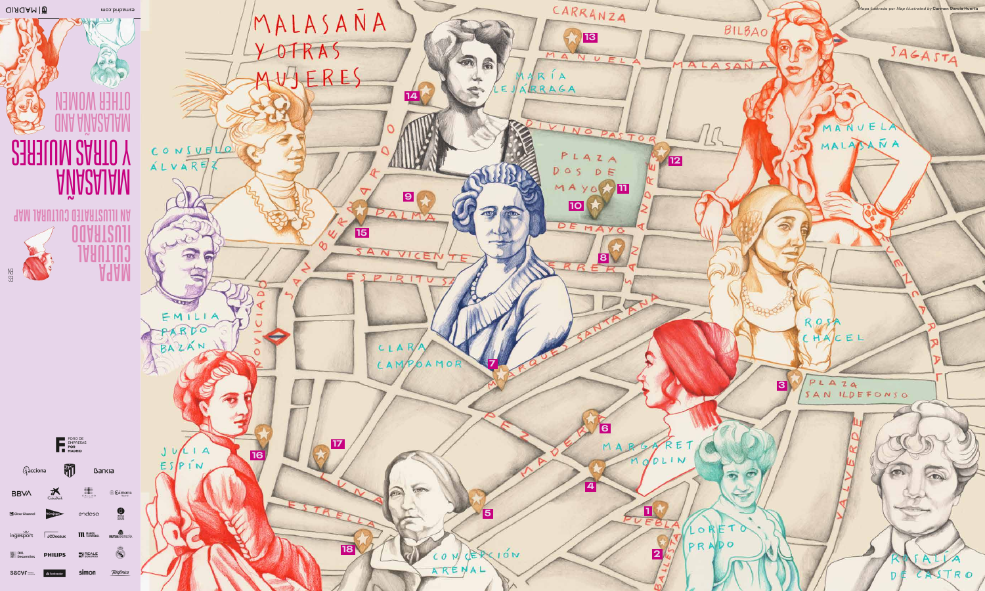**QIAOAM TO** 

**SHU:** 

**SE ONE** 

LUM 2AATO Y

**AAM IAAUTIUJ QITAATZUJII VA** 

AVIACAJAM

**DUART2011** 

**ULITURA** 

**A**qAM

esmadicom

CONSURVO

**ALVARE;** 

 $\mathcal{L}$ 

**COLLECT** 

PARDO

BAZAN

 $U/L + A$ 

 $ESPIN$ 

16

EMILIA

 $\mathbf{a}$ 

MALASAÑA

ERES

|15|

CAMP

 $\infty$ 

 $\overline{17}$ 

18